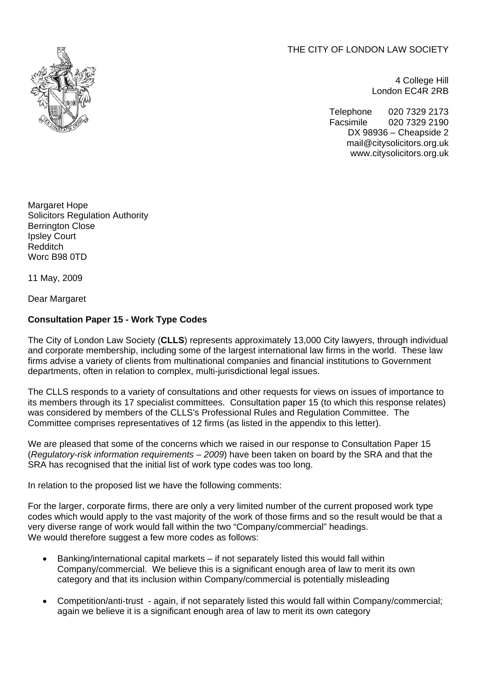THE CITY OF LONDON LAW SOCIETY



4 College Hill London EC4R 2RB

Telephone 020 7329 2173 Facsimile 020 7329 2190 DX 98936 – Cheapside 2 mail@citysolicitors.org.uk www.citysolicitors.org.uk

Margaret Hope Solicitors Regulation Authority Berrington Close Ipsley Court Redditch Worc B98 0TD

11 May, 2009

Dear Margaret

## **Consultation Paper 15 - Work Type Codes**

The City of London Law Society (**CLLS**) represents approximately 13,000 City lawyers, through individual and corporate membership, including some of the largest international law firms in the world. These law firms advise a variety of clients from multinational companies and financial institutions to Government departments, often in relation to complex, multi-jurisdictional legal issues.

The CLLS responds to a variety of consultations and other requests for views on issues of importance to its members through its 17 specialist committees. Consultation paper 15 (to which this response relates) was considered by members of the CLLS's Professional Rules and Regulation Committee. The Committee comprises representatives of 12 firms (as listed in the appendix to this letter).

We are pleased that some of the concerns which we raised in our response to Consultation Paper 15 (*Regulatory-risk information requirements – 2009*) have been taken on board by the SRA and that the SRA has recognised that the initial list of work type codes was too long.

In relation to the proposed list we have the following comments:

For the larger, corporate firms, there are only a very limited number of the current proposed work type codes which would apply to the vast majority of the work of those firms and so the result would be that a very diverse range of work would fall within the two "Company/commercial" headings. We would therefore suggest a few more codes as follows:

- Banking/international capital markets if not separately listed this would fall within Company/commercial. We believe this is a significant enough area of law to merit its own category and that its inclusion within Company/commercial is potentially misleading
- Competition/anti-trust again, if not separately listed this would fall within Company/commercial; again we believe it is a significant enough area of law to merit its own category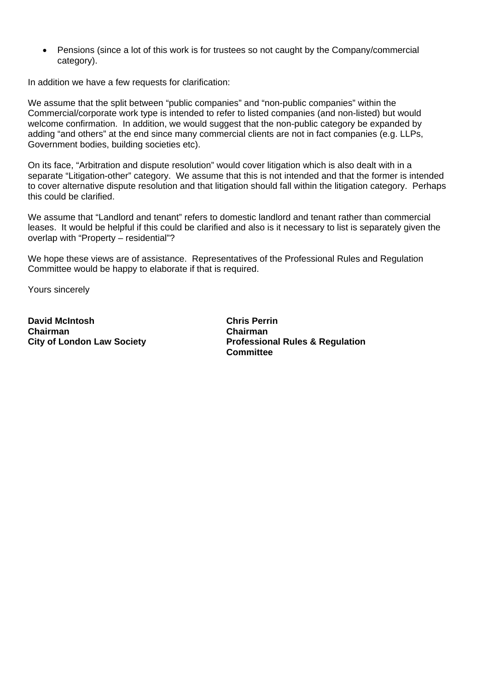• Pensions (since a lot of this work is for trustees so not caught by the Company/commercial category).

In addition we have a few requests for clarification:

We assume that the split between "public companies" and "non-public companies" within the Commercial/corporate work type is intended to refer to listed companies (and non-listed) but would welcome confirmation. In addition, we would suggest that the non-public category be expanded by adding "and others" at the end since many commercial clients are not in fact companies (e.g. LLPs, Government bodies, building societies etc).

On its face, "Arbitration and dispute resolution" would cover litigation which is also dealt with in a separate "Litigation-other" category. We assume that this is not intended and that the former is intended to cover alternative dispute resolution and that litigation should fall within the litigation category. Perhaps this could be clarified.

We assume that "Landlord and tenant" refers to domestic landlord and tenant rather than commercial leases. It would be helpful if this could be clarified and also is it necessary to list is separately given the overlap with "Property – residential"?

We hope these views are of assistance. Representatives of the Professional Rules and Regulation Committee would be happy to elaborate if that is required.

Yours sincerely

**David McIntosh Chairman City of London Law Society** 

**Chris Perrin Chairman Professional Rules & Regulation Committee**